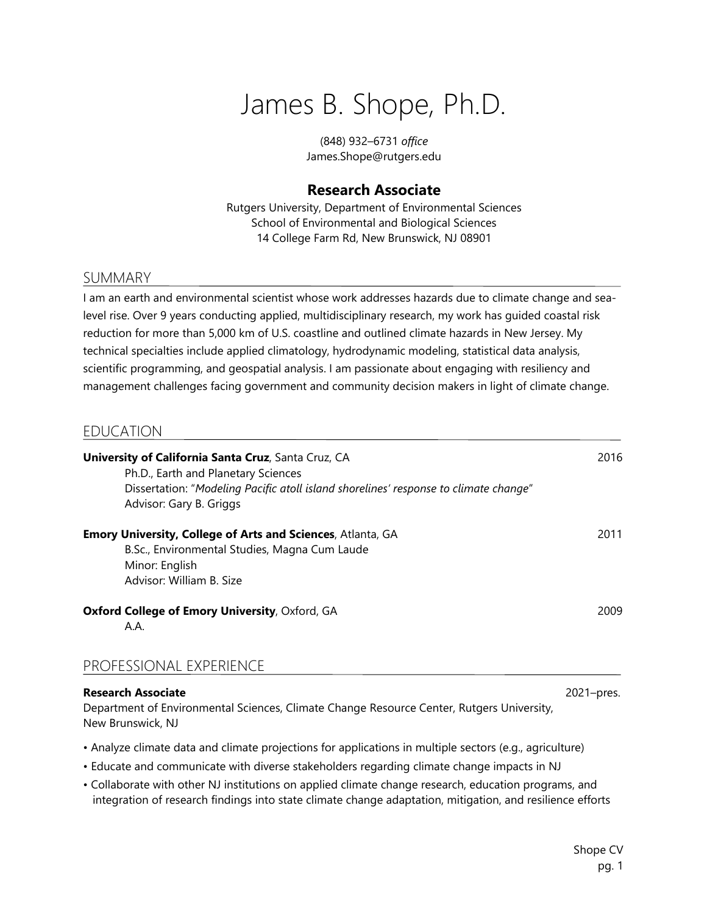# James B. Shope, Ph.D.

(848) 932–6731 *office* James.Shope@rutgers.edu

# **Research Associate**

Rutgers University, Department of Environmental Sciences School of Environmental and Biological Sciences 14 College Farm Rd, New Brunswick, NJ 08901

# SUMMARY

I am an earth and environmental scientist whose work addresses hazards due to climate change and sealevel rise. Over 9 years conducting applied, multidisciplinary research, my work has guided coastal risk reduction for more than 5,000 km of U.S. coastline and outlined climate hazards in New Jersey. My technical specialties include applied climatology, hydrodynamic modeling, statistical data analysis, scientific programming, and geospatial analysis. I am passionate about engaging with resiliency and management challenges facing government and community decision makers in light of climate change.

# EDUCATION

| <b>University of California Santa Cruz, Santa Cruz, CA</b><br>Ph.D., Earth and Planetary Sciences<br>Dissertation: "Modeling Pacific atoll island shorelines' response to climate change"<br>Advisor: Gary B. Griggs | 2016       |
|----------------------------------------------------------------------------------------------------------------------------------------------------------------------------------------------------------------------|------------|
| Emory University, College of Arts and Sciences, Atlanta, GA<br>B.Sc., Environmental Studies, Magna Cum Laude<br>Minor: English<br>Advisor: William B. Size                                                           | 2011       |
| Oxford College of Emory University, Oxford, GA<br>A.A.                                                                                                                                                               | 2009       |
| PROFESSIONAL EXPERIENCE                                                                                                                                                                                              |            |
| <b>Research Associate</b>                                                                                                                                                                                            | 2021–pres. |

Department of Environmental Sciences, Climate Change Resource Center, Rutgers University, New Brunswick, NJ

- Analyze climate data and climate projections for applications in multiple sectors (e.g., agriculture)
- Educate and communicate with diverse stakeholders regarding climate change impacts in NJ
- Collaborate with other NJ institutions on applied climate change research, education programs, and integration of research findings into state climate change adaptation, mitigation, and resilience efforts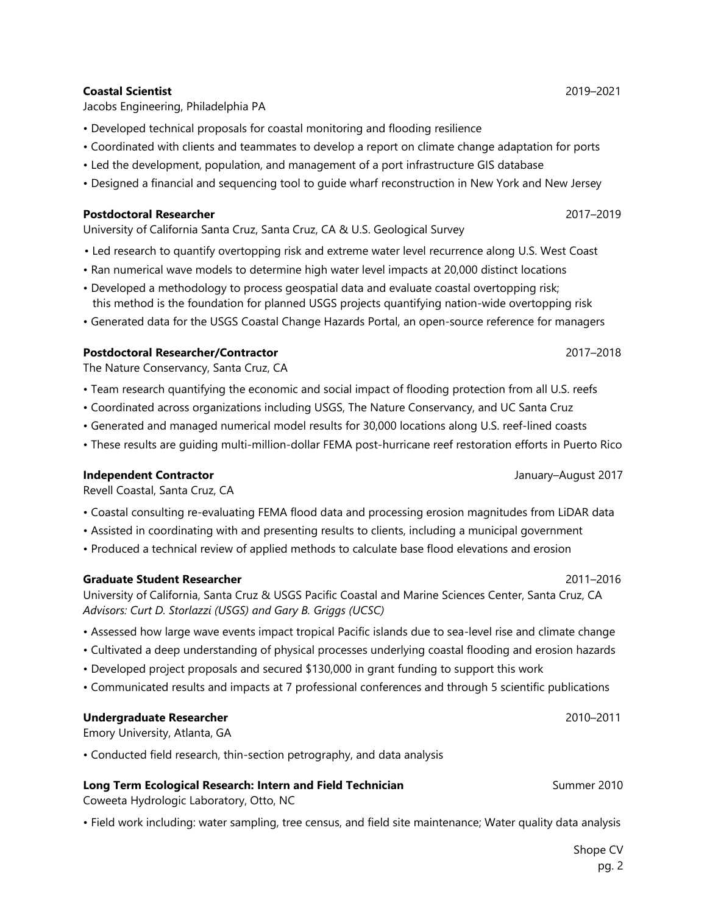#### **Coastal Scientist** 2019–2021

Jacobs Engineering, Philadelphia PA

- Developed technical proposals for coastal monitoring and flooding resilience
- Coordinated with clients and teammates to develop a report on climate change adaptation for ports
- Led the development, population, and management of a port infrastructure GIS database
- Designed a financial and sequencing tool to guide wharf reconstruction in New York and New Jersey

#### **Postdoctoral Researcher** 2017–2019

University of California Santa Cruz, Santa Cruz, CA & U.S. Geological Survey

- Led research to quantify overtopping risk and extreme water level recurrence along U.S. West Coast
- Ran numerical wave models to determine high water level impacts at 20,000 distinct locations
- Developed a methodology to process geospatial data and evaluate coastal overtopping risk; this method is the foundation for planned USGS projects quantifying nation-wide overtopping risk
- Generated data for the USGS Coastal Change Hazards Portal, an open-source reference for managers

### **Postdoctoral Researcher/Contractor** 2017–2018

The Nature Conservancy, Santa Cruz, CA

- Team research quantifying the economic and social impact of flooding protection from all U.S. reefs
- Coordinated across organizations including USGS, The Nature Conservancy, and UC Santa Cruz
- Generated and managed numerical model results for 30,000 locations along U.S. reef-lined coasts
- These results are guiding multi-million-dollar FEMA post-hurricane reef restoration efforts in Puerto Rico

#### **Independent Contractor** January–August 2017

Revell Coastal, Santa Cruz, CA

- Coastal consulting re-evaluating FEMA flood data and processing erosion magnitudes from LiDAR data
- Assisted in coordinating with and presenting results to clients, including a municipal government
- Produced a technical review of applied methods to calculate base flood elevations and erosion

#### **Graduate Student Researcher** 2011–2016

University of California, Santa Cruz & USGS Pacific Coastal and Marine Sciences Center, Santa Cruz, CA *Advisors: Curt D. Storlazzi (USGS) and Gary B. Griggs (UCSC)*

- Assessed how large wave events impact tropical Pacific islands due to sea-level rise and climate change
- Cultivated a deep understanding of physical processes underlying coastal flooding and erosion hazards
- Developed project proposals and secured \$130,000 in grant funding to support this work
- Communicated results and impacts at 7 professional conferences and through 5 scientific publications

#### **Undergraduate Researcher** 2010–2011

Emory University, Atlanta, GA

• Conducted field research, thin-section petrography, and data analysis

#### **Long Term Ecological Research: Intern and Field Technician** Summer 2010

Coweeta Hydrologic Laboratory, Otto, NC

• Field work including: water sampling, tree census, and field site maintenance; Water quality data analysis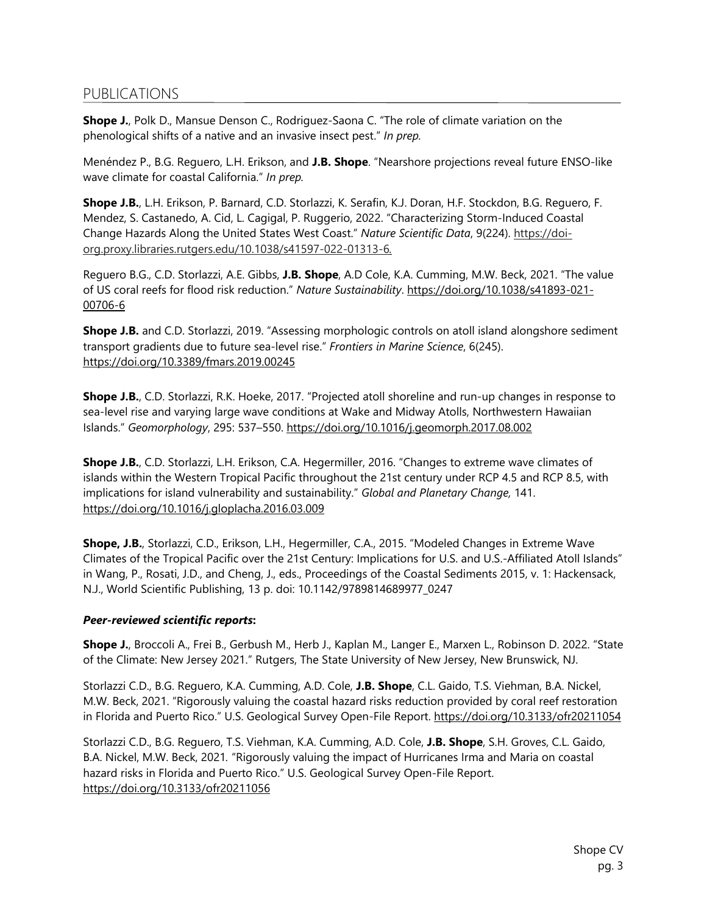# PUBLICATIONS

**Shope J.**, Polk D., Mansue Denson C., Rodriguez-Saona C. "The role of climate variation on the phenological shifts of a native and an invasive insect pest." *In prep.*

Menéndez P., B.G. Reguero, L.H. Erikson, and **J.B. Shope**. "Nearshore projections reveal future ENSO-like wave climate for coastal California." *In prep.*

**Shope J.B.**, L.H. Erikson, P. Barnard, C.D. Storlazzi, K. Serafin, K.J. Doran, H.F. Stockdon, B.G. Reguero, F. Mendez, S. Castanedo, A. Cid, L. Cagigal, P. Ruggerio, 2022. "Characterizing Storm-Induced Coastal Change Hazards Along the United States West Coast." *Nature Scientific Data*, 9(224). https://doiorg.proxy.libraries.rutgers.edu/10.1038/s41597-022-01313-6*.*

Reguero B.G., C.D. Storlazzi, A.E. Gibbs, **J.B. Shope**, A.D Cole, K.A. Cumming, M.W. Beck, 2021. "The value of US coral reefs for flood risk reduction." *Nature Sustainability*. https://doi.org/10.1038/s41893-021- 00706-6

**Shope J.B.** and C.D. Storlazzi, 2019. "Assessing morphologic controls on atoll island alongshore sediment transport gradients due to future sea-level rise." *Frontiers in Marine Science*, 6(245). https://doi.org/10.3389/fmars.2019.00245

**Shope J.B.**, C.D. Storlazzi, R.K. Hoeke, 2017. "Projected atoll shoreline and run-up changes in response to sea-level rise and varying large wave conditions at Wake and Midway Atolls, Northwestern Hawaiian Islands." *Geomorphology*, 295: 537–550. https://doi.org/10.1016/j.geomorph.2017.08.002

**Shope J.B.**, C.D. Storlazzi, L.H. Erikson, C.A. Hegermiller, 2016. "Changes to extreme wave climates of islands within the Western Tropical Pacific throughout the 21st century under RCP 4.5 and RCP 8.5, with implications for island vulnerability and sustainability." *Global and Planetary Change,* 141. https://doi.org/10.1016/j.gloplacha.2016.03.009

**Shope, J.B.**, Storlazzi, C.D., Erikson, L.H., Hegermiller, C.A., 2015. "Modeled Changes in Extreme Wave Climates of the Tropical Pacific over the 21st Century: Implications for U.S. and U.S.-Affiliated Atoll Islands" in Wang, P., Rosati, J.D., and Cheng, J., eds., Proceedings of the Coastal Sediments 2015, v. 1: Hackensack, N.J., World Scientific Publishing, 13 p. doi: 10.1142/9789814689977\_0247

#### *Peer-reviewed scientific reports***:**

**Shope J.**, Broccoli A., Frei B., Gerbush M., Herb J., Kaplan M., Langer E., Marxen L., Robinson D. 2022. "State of the Climate: New Jersey 2021." Rutgers, The State University of New Jersey, New Brunswick, NJ.

Storlazzi C.D., B.G. Reguero, K.A. Cumming, A.D. Cole, **J.B. Shope**, C.L. Gaido, T.S. Viehman, B.A. Nickel, M.W. Beck, 2021. "Rigorously valuing the coastal hazard risks reduction provided by coral reef restoration in Florida and Puerto Rico." U.S. Geological Survey Open-File Report. https://doi.org/10.3133/ofr20211054

Storlazzi C.D., B.G. Reguero, T.S. Viehman, K.A. Cumming, A.D. Cole, **J.B. Shope**, S.H. Groves, C.L. Gaido, B.A. Nickel, M.W. Beck, 2021*.* "Rigorously valuing the impact of Hurricanes Irma and Maria on coastal hazard risks in Florida and Puerto Rico." U.S. Geological Survey Open-File Report. https://doi.org/10.3133/ofr20211056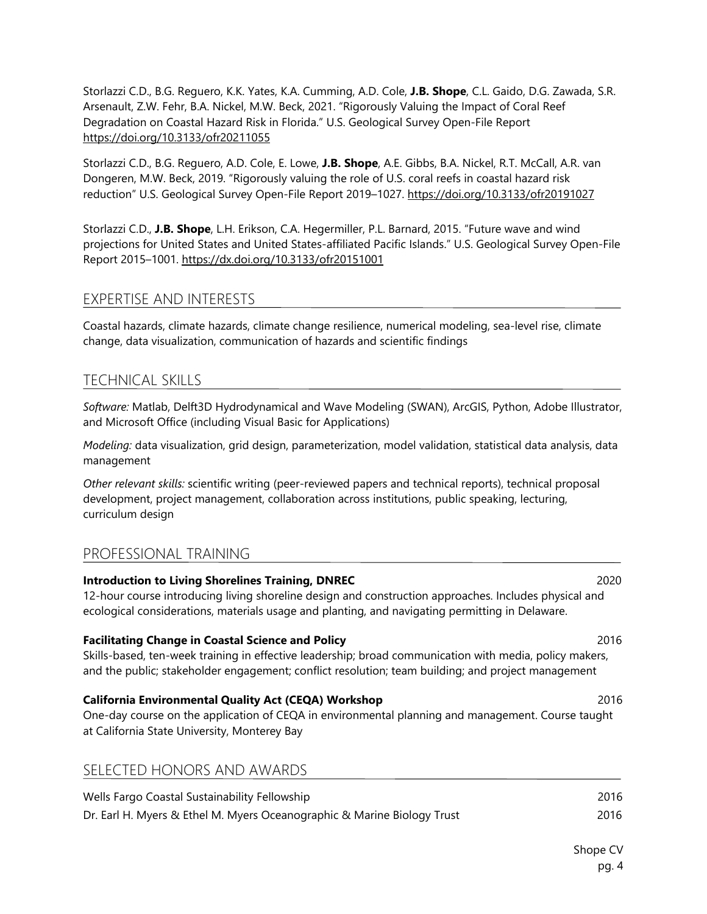Storlazzi C.D., B.G. Reguero, K.K. Yates, K.A. Cumming, A.D. Cole, **J.B. Shope**, C.L. Gaido, D.G. Zawada, S.R. Arsenault, Z.W. Fehr, B.A. Nickel, M.W. Beck, 2021. "Rigorously Valuing the Impact of Coral Reef Degradation on Coastal Hazard Risk in Florida." U.S. Geological Survey Open-File Report https://doi.org/10.3133/ofr20211055

Storlazzi C.D., B.G. Reguero, A.D. Cole, E. Lowe, **J.B. Shope**, A.E. Gibbs, B.A. Nickel, R.T. McCall, A.R. van Dongeren, M.W. Beck, 2019. "Rigorously valuing the role of U.S. coral reefs in coastal hazard risk reduction" U.S. Geological Survey Open-File Report 2019–1027. https://doi.org/10.3133/ofr20191027

Storlazzi C.D., **J.B. Shope**, L.H. Erikson, C.A. Hegermiller, P.L. Barnard, 2015. "Future wave and wind projections for United States and United States-affiliated Pacific Islands." U.S. Geological Survey Open-File Report 2015–1001. https://dx.doi.org/10.3133/ofr20151001

# EXPERTISE AND INTERESTS

Coastal hazards, climate hazards, climate change resilience, numerical modeling, sea-level rise, climate change, data visualization, communication of hazards and scientific findings

# TECHNICAL SKILLS

*Software:* Matlab, Delft3D Hydrodynamical and Wave Modeling (SWAN), ArcGIS, Python, Adobe Illustrator, and Microsoft Office (including Visual Basic for Applications)

*Modeling:* data visualization, grid design, parameterization, model validation, statistical data analysis, data management

*Other relevant skills:* scientific writing (peer-reviewed papers and technical reports), technical proposal development, project management, collaboration across institutions, public speaking, lecturing, curriculum design

# PROFESSIONAL TRAINING

| <b>Introduction to Living Shorelines Training, DNREC</b><br>12-hour course introducing living shoreline design and construction approaches. Includes physical and<br>ecological considerations, materials usage and planting, and navigating permitting in Delaware.      | 2020 |
|---------------------------------------------------------------------------------------------------------------------------------------------------------------------------------------------------------------------------------------------------------------------------|------|
| <b>Facilitating Change in Coastal Science and Policy</b><br>Skills-based, ten-week training in effective leadership; broad communication with media, policy makers,<br>and the public; stakeholder engagement; conflict resolution; team building; and project management | 2016 |
| California Environmental Quality Act (CEQA) Workshop<br>One-day course on the application of CEQA in environmental planning and management. Course taught<br>at California State University, Monterey Bay                                                                 | 2016 |
| SELECTED HONORS AND AWARDS                                                                                                                                                                                                                                                |      |

| Wells Fargo Coastal Sustainability Fellowship                           | 2016 |
|-------------------------------------------------------------------------|------|
| Dr. Earl H. Myers & Ethel M. Myers Oceanographic & Marine Biology Trust | 2016 |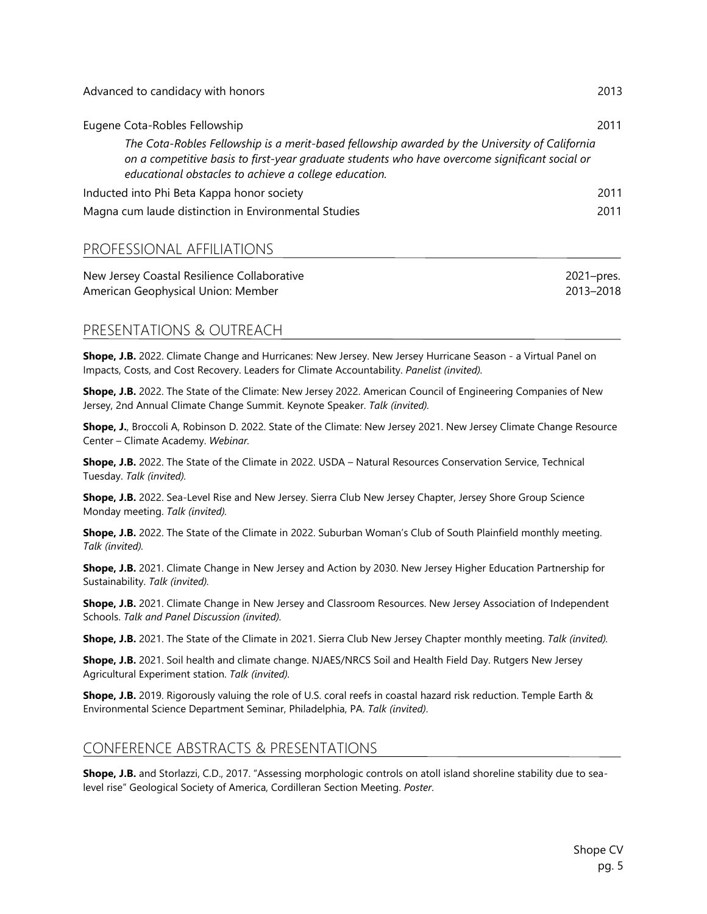| Advanced to candidacy with honors                                                                                                                                                                                                                         | 2013 |
|-----------------------------------------------------------------------------------------------------------------------------------------------------------------------------------------------------------------------------------------------------------|------|
| Eugene Cota-Robles Fellowship                                                                                                                                                                                                                             | 2011 |
| The Cota-Robles Fellowship is a merit-based fellowship awarded by the University of California<br>on a competitive basis to first-year graduate students who have overcome significant social or<br>educational obstacles to achieve a college education. |      |
| Inducted into Phi Beta Kappa honor society                                                                                                                                                                                                                | 2011 |
| Magna cum laude distinction in Environmental Studies                                                                                                                                                                                                      | 2011 |

# PROFESSIONAL AFFILIATIONS

| New Jersey Coastal Resilience Collaborative | 2021-pres. |
|---------------------------------------------|------------|
| American Geophysical Union: Member          | 2013-2018  |

# PRESENTATIONS & OUTREACH

**Shope, J.B.** 2022. Climate Change and Hurricanes: New Jersey. New Jersey Hurricane Season - a Virtual Panel on Impacts, Costs, and Cost Recovery. Leaders for Climate Accountability. *Panelist (invited).*

**Shope, J.B.** 2022. The State of the Climate: New Jersey 2022. American Council of Engineering Companies of New Jersey, 2nd Annual Climate Change Summit. Keynote Speaker. *Talk (invited).*

**Shope, J.**, Broccoli A, Robinson D. 2022. State of the Climate: New Jersey 2021. New Jersey Climate Change Resource Center – Climate Academy. *Webinar.*

**Shope, J.B.** 2022. The State of the Climate in 2022. USDA – Natural Resources Conservation Service, Technical Tuesday. *Talk (invited).*

**Shope, J.B.** 2022. Sea-Level Rise and New Jersey. Sierra Club New Jersey Chapter, Jersey Shore Group Science Monday meeting. *Talk (invited).*

**Shope, J.B.** 2022. The State of the Climate in 2022. Suburban Woman's Club of South Plainfield monthly meeting. *Talk (invited).*

**Shope, J.B.** 2021. Climate Change in New Jersey and Action by 2030. New Jersey Higher Education Partnership for Sustainability. *Talk (invited).*

**Shope, J.B.** 2021. Climate Change in New Jersey and Classroom Resources. New Jersey Association of Independent Schools. *Talk and Panel Discussion (invited).*

**Shope, J.B.** 2021. The State of the Climate in 2021. Sierra Club New Jersey Chapter monthly meeting. *Talk (invited).*

**Shope, J.B.** 2021. Soil health and climate change. NJAES/NRCS Soil and Health Field Day. Rutgers New Jersey Agricultural Experiment station. *Talk (invited).*

**Shope, J.B.** 2019. Rigorously valuing the role of U.S. coral reefs in coastal hazard risk reduction. Temple Earth & Environmental Science Department Seminar, Philadelphia, PA. *Talk (invited)*.

# CONFERENCE ABSTRACTS & PRESENTATIONS

**Shope, J.B.** and Storlazzi, C.D., 2017. "Assessing morphologic controls on atoll island shoreline stability due to sealevel rise" Geological Society of America, Cordilleran Section Meeting. *Poster*.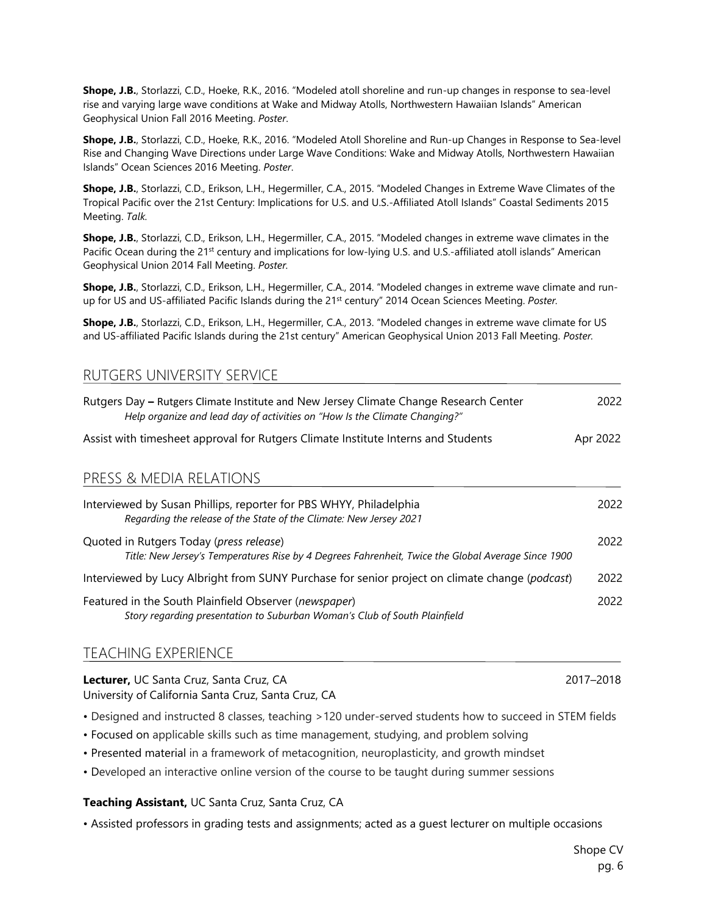**Shope, J.B.**, Storlazzi, C.D., Hoeke, R.K., 2016. "Modeled atoll shoreline and run-up changes in response to sea-level rise and varying large wave conditions at Wake and Midway Atolls, Northwestern Hawaiian Islands" American Geophysical Union Fall 2016 Meeting. *Poster*.

**Shope, J.B.**, Storlazzi, C.D., Hoeke, R.K., 2016. "Modeled Atoll Shoreline and Run-up Changes in Response to Sea-level Rise and Changing Wave Directions under Large Wave Conditions: Wake and Midway Atolls, Northwestern Hawaiian Islands" Ocean Sciences 2016 Meeting. *Poster*.

**Shope, J.B.**, Storlazzi, C.D., Erikson, L.H., Hegermiller, C.A., 2015. "Modeled Changes in Extreme Wave Climates of the Tropical Pacific over the 21st Century: Implications for U.S. and U.S.-Affiliated Atoll Islands" Coastal Sediments 2015 Meeting. *Talk.*

**Shope, J.B.**, Storlazzi, C.D., Erikson, L.H., Hegermiller, C.A., 2015. "Modeled changes in extreme wave climates in the Pacific Ocean during the 21<sup>st</sup> century and implications for low-lying U.S. and U.S.-affiliated atoll islands" American Geophysical Union 2014 Fall Meeting. *Poster.*

**Shope, J.B.**, Storlazzi, C.D., Erikson, L.H., Hegermiller, C.A., 2014. "Modeled changes in extreme wave climate and runup for US and US-affiliated Pacific Islands during the 21st century" 2014 Ocean Sciences Meeting. *Poster.*

**Shope, J.B.**, Storlazzi, C.D., Erikson, L.H., Hegermiller, C.A., 2013. "Modeled changes in extreme wave climate for US and US-affiliated Pacific Islands during the 21st century" American Geophysical Union 2013 Fall Meeting. *Poster.*

| KUTUEKS UNIVERSITT SEKVILE                                                                                                                                          |          |
|---------------------------------------------------------------------------------------------------------------------------------------------------------------------|----------|
| Rutgers Day - Rutgers Climate Institute and New Jersey Climate Change Research Center<br>Help organize and lead day of activities on "How Is the Climate Changing?" | 2022     |
| Assist with timesheet approval for Rutgers Climate Institute Interns and Students                                                                                   | Apr 2022 |
| PRESS & MEDIA RELATIONS                                                                                                                                             |          |
| Interviewed by Susan Phillips, reporter for PBS WHYY, Philadelphia<br>Regarding the release of the State of the Climate: New Jersey 2021                            | 2022     |
| Quoted in Rutgers Today (press release)<br>Title: New Jersey's Temperatures Rise by 4 Degrees Fahrenheit, Twice the Global Average Since 1900                       | 2022     |
| Interviewed by Lucy Albright from SUNY Purchase for senior project on climate change (podcast)                                                                      | 2022     |
| Featured in the South Plainfield Observer (newspaper)<br>Story regarding presentation to Suburban Woman's Club of South Plainfield                                  | 2022     |
|                                                                                                                                                                     |          |

# TEACHING EXPERIENCE

RUTGERS UNIVERSITY SERVICE

#### **Lecturer,** UC Santa Cruz, Santa Cruz, CA 2017–2018 University of California Santa Cruz, Santa Cruz, CA

• Designed and instructed 8 classes, teaching >120 under-served students how to succeed in STEM fields

- Focused on applicable skills such as time management, studying, and problem solving
- Presented material in a framework of metacognition, neuroplasticity, and growth mindset
- Developed an interactive online version of the course to be taught during summer sessions

#### **Teaching Assistant,** UC Santa Cruz, Santa Cruz, CA

• Assisted professors in grading tests and assignments; acted as a guest lecturer on multiple occasions